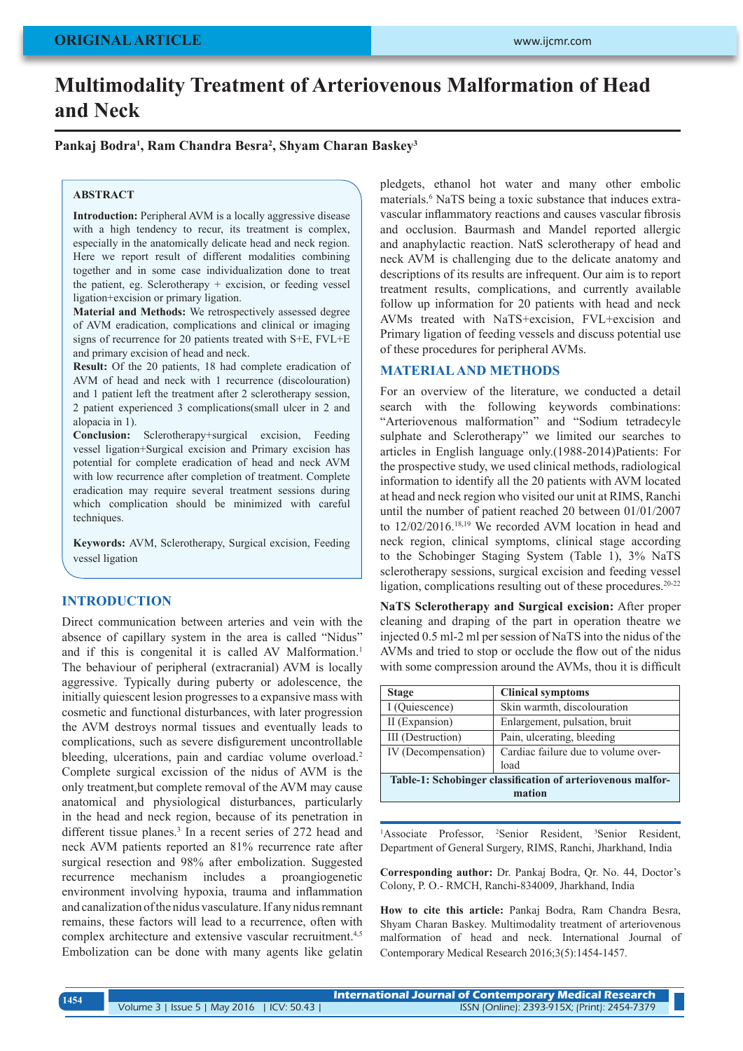# **Multimodality Treatment of Arteriovenous Malformation of Head and Neck**

**Pankaj Bodra1 , Ram Chandra Besra2 , Shyam Charan Baskey3**

#### **ABSTRACT**

**Introduction:** Peripheral AVM is a locally aggressive disease with a high tendency to recur, its treatment is complex, especially in the anatomically delicate head and neck region. Here we report result of different modalities combining together and in some case individualization done to treat the patient, eg. Sclerotherapy + excision, or feeding vessel ligation+excision or primary ligation.

**Material and Methods:** We retrospectively assessed degree of AVM eradication, complications and clinical or imaging signs of recurrence for 20 patients treated with S+E, FVL+E and primary excision of head and neck.

**Result:** Of the 20 patients, 18 had complete eradication of AVM of head and neck with 1 recurrence (discolouration) and 1 patient left the treatment after 2 sclerotherapy session, 2 patient experienced 3 complications(small ulcer in 2 and alopacia in 1).

**Conclusion:** Sclerotherapy+surgical excision, Feeding vessel ligation+Surgical excision and Primary excision has potential for complete eradication of head and neck AVM with low recurrence after completion of treatment. Complete eradication may require several treatment sessions during which complication should be minimized with careful techniques.

**Keywords:** AVM, Sclerotherapy, Surgical excision, Feeding vessel ligation

#### **INTRODUCTION**

Direct communication between arteries and vein with the absence of capillary system in the area is called "Nidus" and if this is congenital it is called AV Malformation.<sup>1</sup> The behaviour of peripheral (extracranial) AVM is locally aggressive. Typically during puberty or adolescence, the initially quiescent lesion progresses to a expansive mass with cosmetic and functional disturbances, with later progression the AVM destroys normal tissues and eventually leads to complications, such as severe disfigurement uncontrollable bleeding, ulcerations, pain and cardiac volume overload.<sup>2</sup> Complete surgical excission of the nidus of AVM is the only treatment,but complete removal of the AVM may cause anatomical and physiological disturbances, particularly in the head and neck region, because of its penetration in different tissue planes.<sup>3</sup> In a recent series of 272 head and neck AVM patients reported an 81% recurrence rate after surgical resection and 98% after embolization. Suggested recurrence mechanism includes a proangiogenetic environment involving hypoxia, trauma and inflammation and canalization of the nidus vasculature. If any nidus remnant remains, these factors will lead to a recurrence, often with complex architecture and extensive vascular recruitment.<sup>4,5</sup> Embolization can be done with many agents like gelatin

pledgets, ethanol hot water and many other embolic materials.<sup>6</sup> NaTS being a toxic substance that induces extravascular inflammatory reactions and causes vascular fibrosis and occlusion. Baurmash and Mandel reported allergic and anaphylactic reaction. NatS sclerotherapy of head and neck AVM is challenging due to the delicate anatomy and descriptions of its results are infrequent. Our aim is to report treatment results, complications, and currently available follow up information for 20 patients with head and neck AVMs treated with NaTS+excision, FVL+excision and Primary ligation of feeding vessels and discuss potential use of these procedures for peripheral AVMs.

# **MATERIAL AND METHODS**

For an overview of the literature, we conducted a detail search with the following keywords combinations: "Arteriovenous malformation" and "Sodium tetradecyle sulphate and Sclerotherapy" we limited our searches to articles in English language only.(1988-2014)Patients: For the prospective study, we used clinical methods, radiological information to identify all the 20 patients with AVM located at head and neck region who visited our unit at RIMS, Ranchi until the number of patient reached 20 between 01/01/2007 to 12/02/2016.18,19 We recorded AVM location in head and neck region, clinical symptoms, clinical stage according to the Schobinger Staging System (Table 1), 3% NaTS sclerotherapy sessions, surgical excision and feeding vessel ligation, complications resulting out of these procedures.<sup>20-22</sup>

**NaTS Sclerotherapy and Surgical excision:** After proper cleaning and draping of the part in operation theatre we injected 0.5 ml-2 ml per session of NaTS into the nidus of the AVMs and tried to stop or occlude the flow out of the nidus with some compression around the AVMs, thou it is difficult

| <b>Stage</b>                                                | <b>Clinical symptoms</b>            |  |  |  |  |  |  |  |
|-------------------------------------------------------------|-------------------------------------|--|--|--|--|--|--|--|
| I (Quiescence)                                              | Skin warmth, discolouration         |  |  |  |  |  |  |  |
| II (Expansion)                                              | Enlargement, pulsation, bruit       |  |  |  |  |  |  |  |
| III (Destruction)                                           | Pain, ulcerating, bleeding          |  |  |  |  |  |  |  |
| IV (Decompensation)                                         | Cardiac failure due to volume over- |  |  |  |  |  |  |  |
|                                                             | load                                |  |  |  |  |  |  |  |
| Table-1: Schobinger classification of arteriovenous malfor- |                                     |  |  |  |  |  |  |  |
| mation                                                      |                                     |  |  |  |  |  |  |  |

<sup>1</sup>Associate Professor, <sup>2</sup>Senior Resident, <sup>3</sup>Senior Resident, Department of General Surgery, RIMS, Ranchi, Jharkhand, India

**Corresponding author:** Dr. Pankaj Bodra, Qr. No. 44, Doctor's Colony, P. O.- RMCH, Ranchi-834009, Jharkhand, India

**How to cite this article:** Pankaj Bodra, Ram Chandra Besra, Shyam Charan Baskey. Multimodality treatment of arteriovenous malformation of head and neck. International Journal of Contemporary Medical Research 2016;3(5):1454-1457.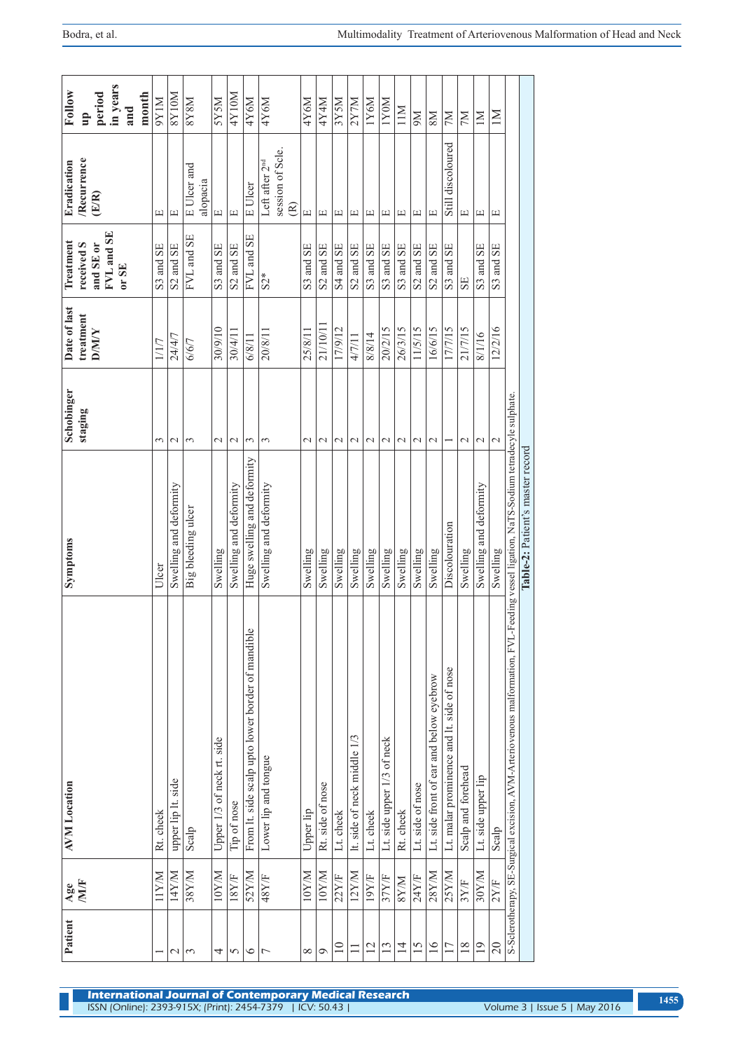| period                                    | in years<br>and     | month | $\overline{\text{SYIM}}$ | <b>N0178</b>           | <b>N8X8</b><br>E Ulcer and | <b>NSXS</b>                | 4Y10M                            | 4Y6M                                              | 4Y6M<br>Left after 2 <sup>nd</sup> | session of Scle. | 4Y6M                             | 4Y4M                             | 3Y5M                                         | 2Y7M                             | 1Y6M                             | 1Y0M                       | 11M            | N6                                | <b>NS</b>                               | M <sub>2</sub><br>Still discoloured       | <b>NL</b>                        | $\overline{M}$         | $\overline{\mathsf{M}}$ |                                                                           |                                  |
|-------------------------------------------|---------------------|-------|--------------------------|------------------------|----------------------------|----------------------------|----------------------------------|---------------------------------------------------|------------------------------------|------------------|----------------------------------|----------------------------------|----------------------------------------------|----------------------------------|----------------------------------|----------------------------|----------------|-----------------------------------|-----------------------------------------|-------------------------------------------|----------------------------------|------------------------|-------------------------|---------------------------------------------------------------------------|----------------------------------|
| Recurrence<br>(E/R)                       |                     |       | щ                        | щ                      | alopacia                   | $\Xi$                      | $\boxed{\underline{\mathbf{L}}}$ | E Ulcer                                           |                                    | $\mathfrak{S}$   | $\boxed{\underline{\mathbf{L}}}$ | $\boxed{\underline{\mathbf{1}}}$ | $\boxed{\underline{\phantom{1}}\phantom{1}}$ | $\boxed{\underline{\mathbf{1}}}$ | $\boxed{\underline{\mathbf{L}}}$ | щ                          | щ              | $\Xi$                             | $\boxed{\underline{\mathbf{L}}}$        |                                           | $\boxed{\underline{\mathbf{L}}}$ | щ                      | Щ                       |                                                                           |                                  |
| received S<br>and SE or                   | FVL and SE<br>or SE |       | S3 and SE                | S2 and SE              | FVL and SE                 | S3 and SE                  | S2 and SE                        | FVL and SE                                        | $S2*$                              |                  | S3 and SE                        | S2 and SE                        | S4 and SE                                    | S2 and SE                        | S3 and SE                        | S3 and SE                  | S3 and SE      | S <sub>2</sub> and S <sub>E</sub> | S2 and SE                               | S3 and SE                                 | <b>SE</b>                        | S3 and SE              | S3 and SE               |                                                                           |                                  |
| Date of last<br>treatment<br><b>D/M/Y</b> |                     |       | 1/1/7                    | 24/4/7                 | 6/6/7                      | 30/9/10                    | 30/4/11                          | 6/8/11                                            | 20/8/11                            |                  | 25/8/11                          | 21/10/11                         | 17/9/12                                      | 4/7/11                           | 8/8/14                           | 20/2/15                    | 26/3/15        | 11/5/15                           | 16/6/15                                 | 17/7/15                                   | 21/7/15                          | 8/1/16                 | 12/2/16                 |                                                                           |                                  |
| Schobinger<br>staging                     |                     |       | 3                        | $\mathcal{L}$          | 3                          | $\mathcal{L}$              | $\mathcal{L}$                    | 3                                                 | 3                                  |                  | $\mathcal{C}$                    | $\mathcal{L}$                    | $\mathcal{L}$                                | $\mathcal{L}$                    | $\mathcal{L}$                    | $\mathbf 2$                | $\sim$         | $\mathcal{L}$                     | $\mathcal{L}$                           |                                           | $\mathcal{L}$                    | $\mathcal{L}$          | 2                       |                                                                           |                                  |
| Symptoms                                  |                     |       | Ulcer                    | Swelling and deformity | Big bleeding ulcer         | Swelling                   | Swelling and deformity           | Huge swelling and deformity                       | Swelling and deformity             |                  | Swelling                         | Swelling                         | Swelling                                     | Swelling                         | Swelling                         | Swelling                   | Swelling       | Swelling                          | Swelling                                | Discolouration                            | Swelling                         | Swelling and deformity | Swelling                | L-Feeding vessel ligation, NaTS-Sodium tetradecyle sulphate.              | Table-2: Patient's master record |
| <b>AVM</b> Location                       |                     |       | Rt. cheek                | upper lip lt. side     | Scalp                      | Upper 1/3 of neck rt. side | Tip of nose                      | From It. side scalp upto lower border of mandible | Lower lip and tongue               |                  | Upper lip                        | Rt. side of nose                 | Lt. cheek                                    | It. side of neck middle 1/3      | Lt. cheek                        | Lt. side upper 1/3 of neck | Rt. cheek      | Lt. side of nose                  | Lt. side front of ear and below eyebrow | Lt. malar prominence and lt. side of nose | Scalp and forehead               | Lt. side upper lip     | Scalp                   | S-Sclerotherapy, SE-Surgical excision, AVM-Arteriovenous malformation, FV |                                  |
| <b>NIVE</b><br>$\mathbf{Age}$             |                     |       | <b>N/XII</b>             | 14Y/M                  | $38$ $YM$                  | 10Y/M                      | 18Y/F                            | 52Y/M                                             | 48Y/F                              |                  | 10Y/M                            | 10YM                             | 22Y/F                                        | 12Y/M                            | 19Y/F                            | 37Y/F                      | <b>M/A8</b>    | 24Y/F                             | 28Y/M                                   | 25Y/M                                     | 3Y/F                             | 30Y/M                  | 2Y/F                    |                                                                           |                                  |
| Patient                                   |                     |       |                          | $\mathcal{L}$          | $\mathfrak{c}$             | 4                          | 5                                | $\circ$                                           | Γ                                  |                  | ${}^{\infty}$                    | 0                                | $\Xi$                                        |                                  | $\overline{2}$                   | $\mathbf{13}$              | $\overline{4}$ | 15                                | $\frac{6}{2}$                           | 17                                        | 18                               | $\overline{1}$         | $\Omega$                |                                                                           |                                  |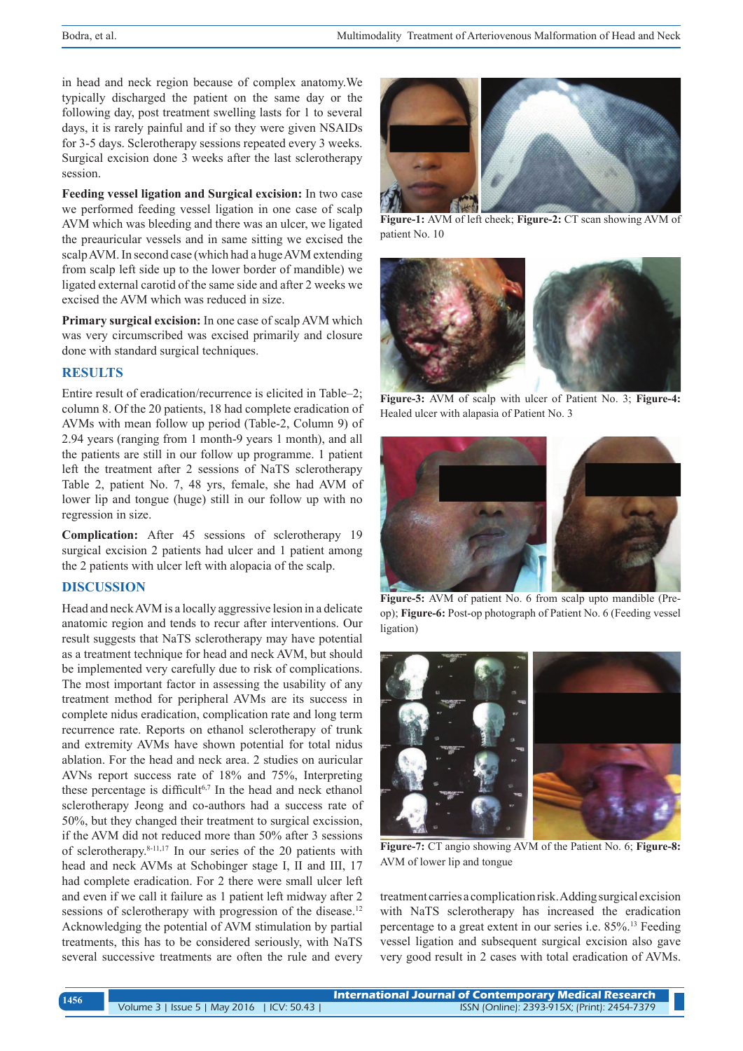in head and neck region because of complex anatomy.We typically discharged the patient on the same day or the following day, post treatment swelling lasts for 1 to several days, it is rarely painful and if so they were given NSAIDs for 3-5 days. Sclerotherapy sessions repeated every 3 weeks. Surgical excision done 3 weeks after the last sclerotherapy session.

**Feeding vessel ligation and Surgical excision:** In two case we performed feeding vessel ligation in one case of scalp AVM which was bleeding and there was an ulcer, we ligated the preauricular vessels and in same sitting we excised the scalp AVM. In second case (which had a huge AVM extending from scalp left side up to the lower border of mandible) we ligated external carotid of the same side and after 2 weeks we excised the AVM which was reduced in size.

**Primary surgical excision:** In one case of scalp AVM which was very circumscribed was excised primarily and closure done with standard surgical techniques.

# **RESULTS**

Entire result of eradication/recurrence is elicited in Table–2; column 8. Of the 20 patients, 18 had complete eradication of AVMs with mean follow up period (Table-2, Column 9) of 2.94 years (ranging from 1 month-9 years 1 month), and all the patients are still in our follow up programme. 1 patient left the treatment after 2 sessions of NaTS sclerotherapy Table 2, patient No. 7, 48 yrs, female, she had AVM of lower lip and tongue (huge) still in our follow up with no regression in size.

**Complication:** After 45 sessions of sclerotherapy 19 surgical excision 2 patients had ulcer and 1 patient among the 2 patients with ulcer left with alopacia of the scalp.

# **DISCUSSION**

Head and neck AVM is a locally aggressive lesion in a delicate anatomic region and tends to recur after interventions. Our result suggests that NaTS sclerotherapy may have potential as a treatment technique for head and neck AVM, but should be implemented very carefully due to risk of complications. The most important factor in assessing the usability of any treatment method for peripheral AVMs are its success in complete nidus eradication, complication rate and long term recurrence rate. Reports on ethanol sclerotherapy of trunk and extremity AVMs have shown potential for total nidus ablation. For the head and neck area. 2 studies on auricular AVNs report success rate of 18% and 75%, Interpreting these percentage is difficult<sup>6,7</sup> In the head and neck ethanol sclerotherapy Jeong and co-authors had a success rate of 50%, but they changed their treatment to surgical excission, if the AVM did not reduced more than 50% after 3 sessions of sclerotherapy.8-11,17 In our series of the 20 patients with head and neck AVMs at Schobinger stage I, II and III, 17 had complete eradication. For 2 there were small ulcer left and even if we call it failure as 1 patient left midway after 2 sessions of sclerotherapy with progression of the disease.<sup>12</sup> Acknowledging the potential of AVM stimulation by partial treatments, this has to be considered seriously, with NaTS several successive treatments are often the rule and every



**Figure-1:** AVM of left cheek; **Figure-2:** CT scan showing AVM of patient No. 10



**Figure-3:** AVM of scalp with ulcer of Patient No. 3; **Figure-4:** Healed ulcer with alapasia of Patient No. 3



Figure-5: AVM of patient No. 6 from scalp upto mandible (Preop); **Figure-6:** Post-op photograph of Patient No. 6 (Feeding vessel ligation)



**Figure-7:** CT angio showing AVM of the Patient No. 6; **Figure-8:**  AVM of lower lip and tongue

treatment carries a complication risk. Adding surgical excision with NaTS sclerotherapy has increased the eradication percentage to a great extent in our series i.e. 85%.13 Feeding vessel ligation and subsequent surgical excision also gave very good result in 2 cases with total eradication of AVMs.